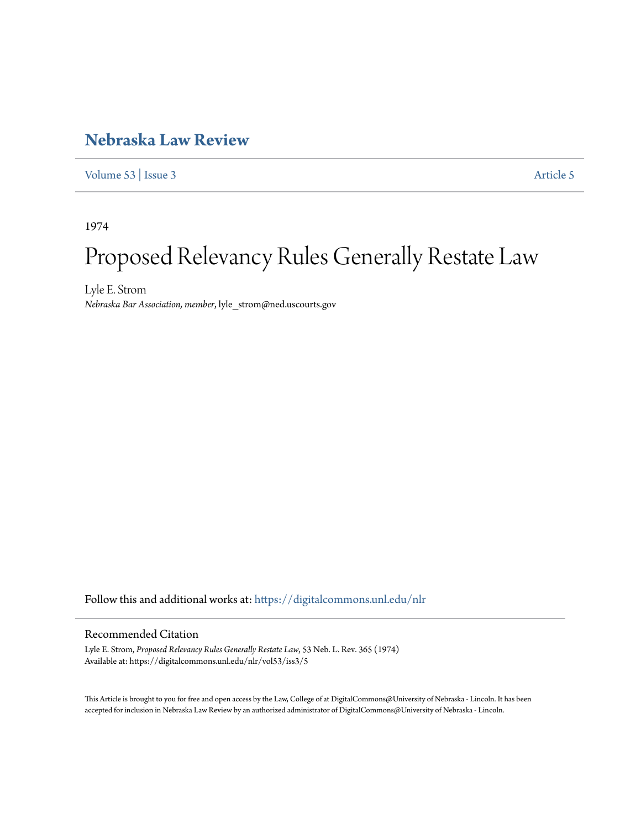# **[Nebraska Law Review](https://digitalcommons.unl.edu/nlr?utm_source=digitalcommons.unl.edu%2Fnlr%2Fvol53%2Fiss3%2F5&utm_medium=PDF&utm_campaign=PDFCoverPages)**

[Volume 53](https://digitalcommons.unl.edu/nlr/vol53?utm_source=digitalcommons.unl.edu%2Fnlr%2Fvol53%2Fiss3%2F5&utm_medium=PDF&utm_campaign=PDFCoverPages) | [Issue 3](https://digitalcommons.unl.edu/nlr/vol53/iss3?utm_source=digitalcommons.unl.edu%2Fnlr%2Fvol53%2Fiss3%2F5&utm_medium=PDF&utm_campaign=PDFCoverPages) [Article 5](https://digitalcommons.unl.edu/nlr/vol53/iss3/5?utm_source=digitalcommons.unl.edu%2Fnlr%2Fvol53%2Fiss3%2F5&utm_medium=PDF&utm_campaign=PDFCoverPages)

1974

# Proposed Relevancy Rules Generally Restate Law

Lyle E. Strom *Nebraska Bar Association, member*, lyle\_strom@ned.uscourts.gov

Follow this and additional works at: [https://digitalcommons.unl.edu/nlr](https://digitalcommons.unl.edu/nlr?utm_source=digitalcommons.unl.edu%2Fnlr%2Fvol53%2Fiss3%2F5&utm_medium=PDF&utm_campaign=PDFCoverPages)

## Recommended Citation

Lyle E. Strom, *Proposed Relevancy Rules Generally Restate Law*, 53 Neb. L. Rev. 365 (1974) Available at: https://digitalcommons.unl.edu/nlr/vol53/iss3/5

This Article is brought to you for free and open access by the Law, College of at DigitalCommons@University of Nebraska - Lincoln. It has been accepted for inclusion in Nebraska Law Review by an authorized administrator of DigitalCommons@University of Nebraska - Lincoln.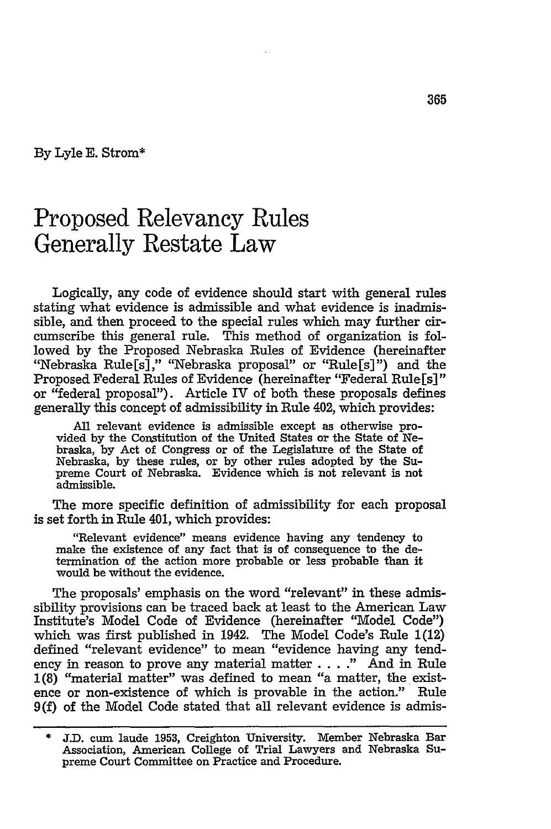**By** Lyle **E.** Strom\*

# Proposed Relevancy Rules Generally Restate Law

Logically, any code of evidence should start with general rules stating what evidence is admissible and what evidence is inadmissible, and then proceed to the special rules which may further circumscribe this general rule. This method of organization is followed by the Proposed Nebraska Rules of Evidence (hereinafter "Nebraska Rule[s]," "Nebraska proposal" or "Rule[s]") and the Proposed Federal Rules of Evidence (hereinafter "Federal Rule[s]" or "federal proposal"). Article IV of both these proposals defines generally this concept of admissibility in Rule 402, which provides:

All relevant evidence is admissible except as otherwise provided by the Constitution of the United States or the State of Nebraska, by Act of Congress or of the Legislature of the State of Nebraska, by these rules, or by other rules adopted by the Supreme Court of Nebraska. Evidence which is not relevant is not admissible.

The more specific definition of admissibility for each proposal is set forth in Rule 401, which provides:

"Relevant evidence" means evidence having any tendency to make the existence of any fact that is of consequence to the determination of the action more probable or less probable than it would be without the evidence.

The proposals' emphasis on the word "relevant" in these admissibility provisions can be traced back at least to the American Law Institute's Model Code of Evidence (hereinafter "Model Code") which was first published in 1942. The Model Code's Rule 1(12) defined "relevant evidence" to mean "evidence having any tendency in reason to prove any material matter ... **."** And in Rule 1(8) "material matter" was defined to mean "a matter, the existence or non-existence of which is provable in the action." Rule 9(f) of the Model Code stated that all relevant evidence is admis-

<sup>\*</sup> J.D. cum laude **1953,** Creighton University. Member Nebraska Bar Association, American College of Trial Lawyers and Nebraska Supreme Court Committee on Practice and Procedure.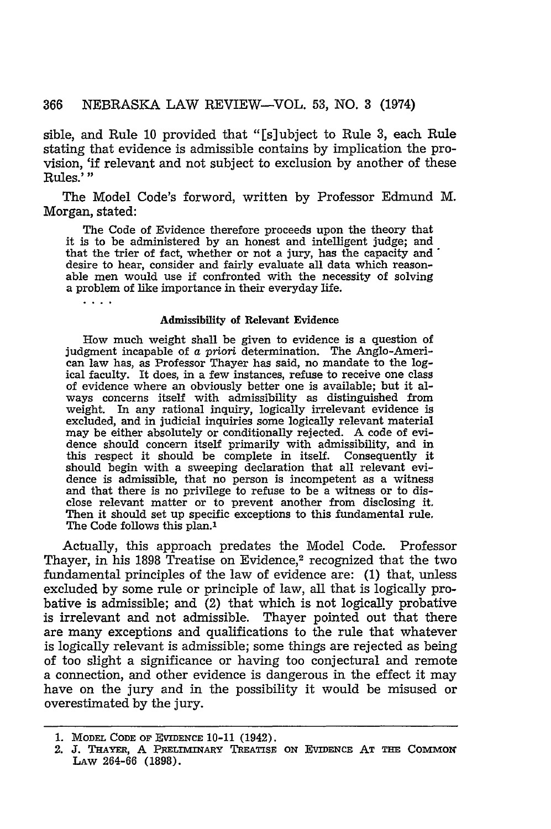sible, and Rule 10 provided that "[s]ubject to Rule **3,** each Rule stating that evidence is admissible contains by implication the provision, 'if relevant and not subject to exclusion by another of these Rules.'

The Model Code's forword, written by Professor Edmund M. Morgan, stated:

The Code of Evidence therefore proceeds upon the theory that it is to be administered by an honest and intelligent judge; and that the trier of fact, whether or not a jury, has the capacity and desire to hear, consider and fairly evaluate all data which reasonable men would use if confronted with the necessity of solving a problem of like importance in their everyday life.

### Admissibility of Relevant Evidence

 $\cdot$  . . .

How much weight shall be given to evidence is a question of judgment incapable of a *priori* determination. The Anglo-American law has, as Professor Thayer has said, no mandate to the log- ical faculty. It does, in a few instances, refuse to receive one class of evidence where an obviously better one is available; but it always concerns itself with admissibility as distinguished from weight. In any rational inquiry, logically irrelevant evidence is excluded, and in judicial inquiries some logically relevant material may be either absolutely or conditionally rejected. A code of evidence should concern itself primarily with admissibility, and in this respect it should be complete in itself. Consequently it should begin with a sweeping declaration that all relevant evidence is admissible, that no person is incompetent as a witness and that there is no privilege to refuse to be a witness or to disclose relevant matter or to prevent another from disclosing it. Then it should set up specific exceptions to this fundamental rule. The Code follows this plan.<sup>1</sup>

Actually, this approach predates the Model Code. Professor Thayer, in his 1898 Treatise on Evidence,<sup>2</sup> recognized that the two fundamental principles of the law of evidence are: (1) that, unless excluded by some rule or principle of law, all that is logically probative is admissible; and (2) that which is not logically probative is irrelevant and not admissible. Thayer pointed out that there are many exceptions and qualifications to the rule that whatever is logically relevant is admissible; some things are rejected as being of too slight a significance or having too conjectural and remote a connection, and other evidence is dangerous in the effect it may have on the jury and in the possibility it would be misused or overestimated by the jury.

<sup>1.</sup> MODEL **CODE OF EVIDENcE 10-11** (1942).

<sup>2.</sup> J. **THAYER,** A **PRELnINARY TREATSE** ON EVIDENcE AT **THE COMMON** LAw 264-66 (1898).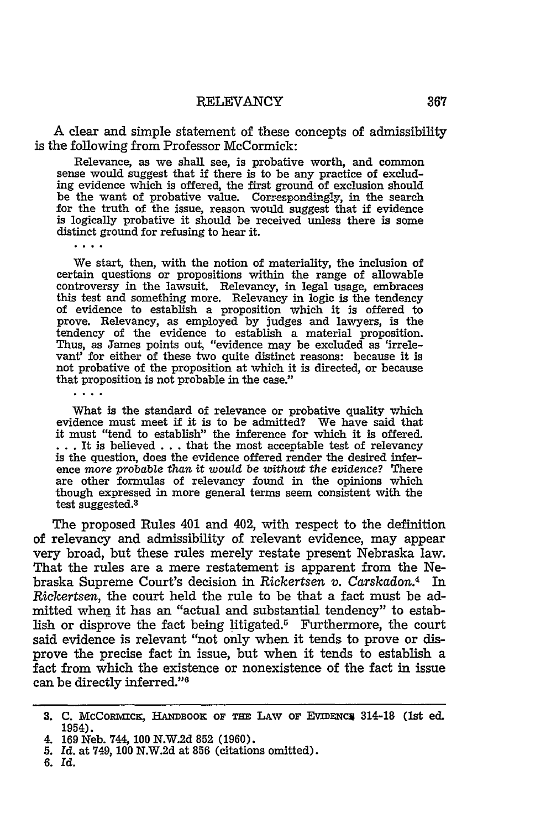A clear and simple statement of these concepts of admissibility is the following from Professor McCormick:

Relevance, as we shall see, is probative worth, and common sense would suggest that if there is to be any practice of excluding evidence which is offered, the first ground of exclusion should be the want of probative value. Correspondingly, in the search for the truth of the issue, reason would suggest that if evidence is logically probative it should be received unless there is some distinct ground for refusing to hear it.

 $\cdots$ 

We start, then, with the notion of materiality, the inclusion of certain questions or propositions within the range of allowable controversy in the lawsuit. Relevancy, in legal usage, embraces this test and something more. Relevancy in logic is the tendency of evidence to establish a proposition which it is offered to prove. Relevancy, as employed by judges and lawyers, is the tendency of the evidence to establish a material proposition. Thus, as James points out, "evidence may be excluded as 'irrelevant' for either of these two quite distinct reasons: because it is not probative of the proposition at which it is directed, or because that proposition is not probable in the case."

What is the standard of relevance or probative quality which evidence must meet if it is to be admitted? We have said that it must "tend to establish" the inference for which it is offered. **: . .** It is believed . . . that the most acceptable test of relevancy is the question, does the evidence offered render the desired inference *more probable than it would be without* the evidence? There are other formulas of relevancy found in the opinions which though expressed in more general terms seem consistent with the test suggested. <sup>3</sup>

The proposed Rules 401 and 402, with respect to the definition of relevancy and admissibility of relevant evidence, may appear very broad, but these rules merely restate present Nebraska law. That the rules are a mere restatement is apparent from the Nebraska Supreme Court's decision in *Rickertsen v. Carskadon.4* In *Rickertsen,* the court held the rule to be that a fact must be admitted when it has an "actual and substantial tendency" to establish or disprove the fact being litigated.5 Furthermore, the court said evidence is relevant "not only when it tends to prove or disprove the precise fact in issue, but when it tends to establish a fact from which the existence or nonexistence of the fact in issue can be directly inferred."

<sup>3.</sup> C. McCormick, HANDBOOK OF THE LAW OF EVIDENC<sub>314</sub>-18 (1st ed. 1954).

<sup>4.</sup> **169** Neb. 744, **100 N.W.2d 852 (1960).**

**<sup>5.</sup>** *Id.* at 749, **100 N.W.2d** at **856** (citations omitted).

**<sup>6.</sup>** *Id.*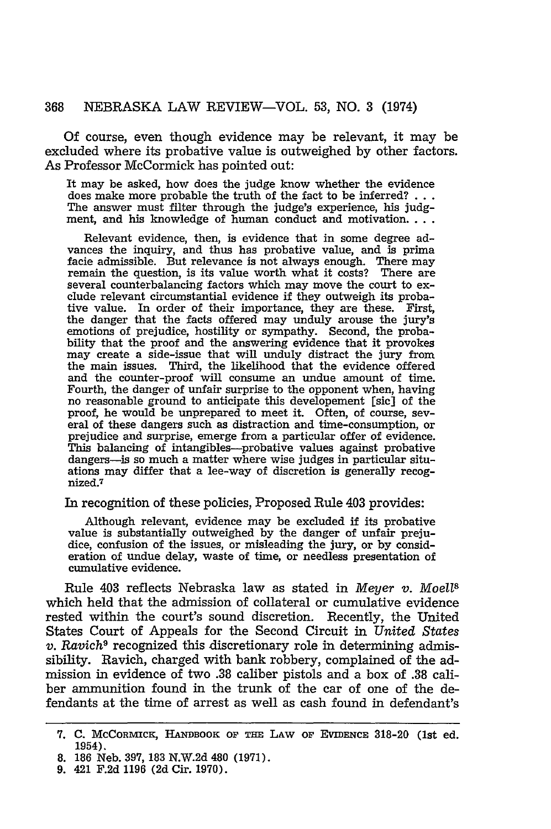#### 368 NEBRASKA LAW REVIEW-VOL. 53, NO. **3** (1974)

Of course, even though evidence may be relevant, it may be excluded where its probative value is outweighed by other factors. As Professor McCormick has pointed out:

It may be asked, how does the judge know whether the evidence does make more probable the truth of the fact to be inferred? **...** The answer must filter through the judge's experience, his judgment, and his knowledge of human conduct and motivation....

Relevant evidence, then, is evidence that in some degree advances the inquiry, and thus has probative value, and is prima facie admissible. But relevance is not always enough. There may remain the question, is its value worth what it costs? There are several counterbalancing factors which may move the court to exclude relevant circumstantial evidence if they outweigh its probative value. In order of their importance, they are these. First, the danger that the facts offered may unduly arouse the jury's emotions of prejudice, hostility or sympathy. Second, the probability that the proof and the answering evidence that it provokes may create a side-issue that will unduly distract the jury from the main issues. Third, the likelihood that the evidence offered and the counter-proof will consume an undue amount of time. Fourth, the danger of unfair surprise to the opponent when, having no reasonable ground to anticipate this developement [sic] of the proof, he would be unprepared to meet it. Often, of course, several of these dangers such as distraction and time-consumption, or prejudice and surprise, emerge from a particular offer of evidence. This balancing of intangibles-probative values against probative dangers-is so much a matter where wise judges in particular situations may differ that a lee-way of discretion is generally recognized.7

In recognition of these policies, Proposed Rule 403 provides:

Although relevant, evidence may be excluded if its probative value is substantially outweighed by the danger of unfair prejudice, confusion of the issues, or misleading the jury, or by consideration of undue delay, waste of time, or needless presentation of cumulative evidence.

Rule 403 reflects Nebraska law as stated in *Meyer v. Moe1U8* which held that the admission of collateral or cumulative evidence rested within the court's sound discretion. Recently, the United States Court of Appeals for the Second Circuit in *United States v. Ravich9* recognized this discretionary role in determining admissibility. Ravich, charged with bank robbery, complained of the admission in evidence of two .38 caliber pistols and a box of .38 caliber ammunition found in the trunk of the car of one of the defendants at the time of arrest as well as cash found in defendant's

**<sup>7.</sup> C.** McCoRMvcK, **HANI BoOK OF THE LAW OF EViDENcE** 318-20 (1st ed. 1954).

**<sup>8. 186</sup>** Neb. **397, 183** N.W.2d 480 (1971).

**<sup>9.</sup>** 421 F.2d 1196 (2d Cir. 1970).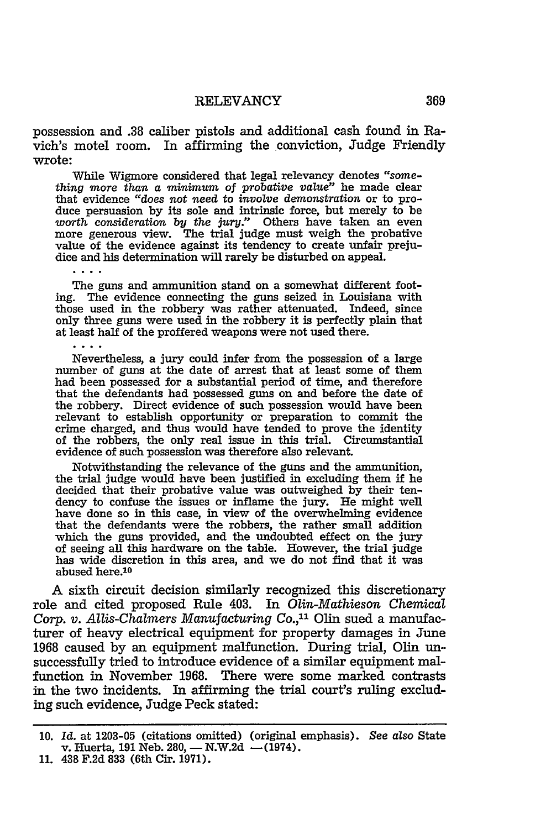possession and **.38** caliber pistols and additional cash found in **Ra**vich's motel room. In affirming the conviction, Judge Friendly wrote:

While Wigmore considered that legal relevancy denotes "some*thing more than a minimum* of *probative value"* he made clear that evidence *"does not need to involve demonstration* or to produce persuasion by its sole and intrinsic force, but merely to be *worth consideration by the jury."* Others have taken an even more generous view. The trial judge must weigh the probative value of the evidence against its tendency to create unfair prejudice and his determination will rarely be disturbed on appeal.

The guns and ammunition stand on a somewhat different footing. The evidence connecting the guns seized in Louisiana with those used in the robbery was rather attenuated. Indeed, since only three guns were used in the robbery it is perfectly plain that at least half of the proffered weapons were not used there.

Nevertheless, a jury could infer from the possession of a large number of guns at the date of arrest that at least some of them had been possessed for a substantial period of time, and therefore that the defendants had possessed guns on and before the date of the robbery. Direct evidence of such possession would have been relevant to establish opportunity or preparation to commit the crime charged, and thus would have tended to prove the identity of the robbers, the only real issue in this trial. Circumstantial evidence of such possession was therefore also relevant.

Notwithstanding the relevance of the guns and the ammunition, the trial judge would have been justified in excluding them if he decided that their probative value was outweighed by their tendency to confuse the issues or inflame the jury. He might well have done so in this case, in view of the overwhelming evidence that the defendants were the robbers, the rather small addition which the guns provided, and the undoubted effect on the jury of seeing all this hardware on the table. However, the trial judge has wide discretion in this area, and we do not find that it was abused here.<sup>10</sup>

A sixth circuit decision similarly recognized this discretionary role and cited proposed Rule 403. In *Olin-Mathieson Chemical Corp. v. Allis-Chalmers Manufacturing Co.,"* Olin sued a manufacturer of heavy electrical equipment for property damages in June 1968 caused by an equipment malfunction. During trial, Olin unsuccessfully tried to introduce evidence of a similar equipment malfunction in November 1968. There were some marked contrasts in the two incidents. In affirming the trial court's ruling excluding such evidence, Judge Peck stated:

<sup>10.</sup> *Id.* at 1203-05 (citations omitted) (original emphasis). *See also* State v. Huerta, 191 Neb. 280,  $-$  N.W.2d  $-$ (1974).

<sup>11. 438</sup> F.2d **833** (6th Cir. 1971).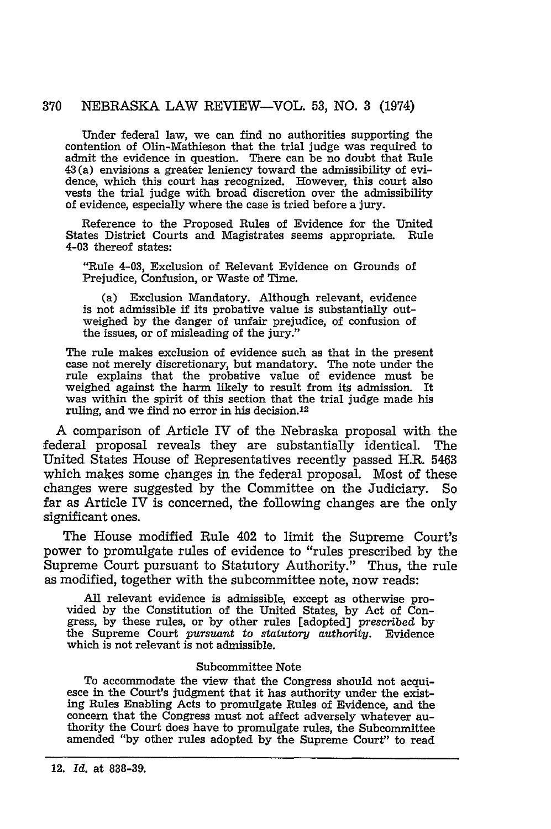#### 370 NEBRASKA LAW REVIEW-VOL. 53, NO. 3 (1974)

Under federal law, we can find no authorities supporting the contention of Olin-Mathieson that the trial judge was required to admit the evidence in question. There can be no doubt that Rule 43(a) envisions a greater leniency toward the admissibility of evidence, which this court has recognized. However, this court also vests the trial judge with broad discretion over the admissibility of evidence, especially where the case is tried before a jury.

Reference to the Proposed Rules of Evidence for the United States District Courts and Magistrates seems appropriate. Rule 4-03 thereof states:

"Rule 4-03, Exclusion of Relevant Evidence on Grounds of Prejudice, Confusion, or Waste of Time.

(a) Exclusion Mandatory. Although relevant, evidence is not admissible if its probative value is substantially outweighed by the danger of unfair prejudice, of confusion of the issues, or of misleading of the jury."

The rule makes exclusion of evidence such as that in the present case not merely discretionary, but mandatory. The note under the rule explains that the probative value of evidence must be weighed against the harm likely to result from its admission. It was within the spirit of this section that the trial judge made his was within the spirit of this section that the trial judge made his ruling, and we find no error in his decision.<sup>12</sup>

A comparison of Article IV of the Nebraska proposal with the -federal proposal reveals they are substantially identical. The United States House of Representatives recently passed H.R. **5463** which makes some changes in the federal proposal. Most of these changes were suggested **by** the Committee on the Judiciary. So far as Article IV is concerned, the following changes are the only significant ones.

The House modified Rule 402 to limit the Supreme Court's power to promulgate rules of evidence to "rules prescribed **by** the Supreme Court pursuant to Statutory Authority." Thus, the rule as modified, together with the subcommittee note, now reads:

All relevant evidence is admissible, except as otherwise provided **by** the Constitution of the United States, **by** Act of Congress, **by** these rules, or **by** other rules [adopted] prescribed **by** the Supreme Court *pursuant to statutory authority.* Evidence which is not relevant is not admissible.

#### Subcommittee Note

To accommodate the view that the Congress should not acqui- esce in the Court's judgment that it has authority under the existing Rules Enabling Acts to promulgate Rules of Evidence, and the concern that the Congress must not affect adversely whatever authority the Court does have to promulgate rules, the Subcommittee amended "by other rules adopted by the Supreme Court" to read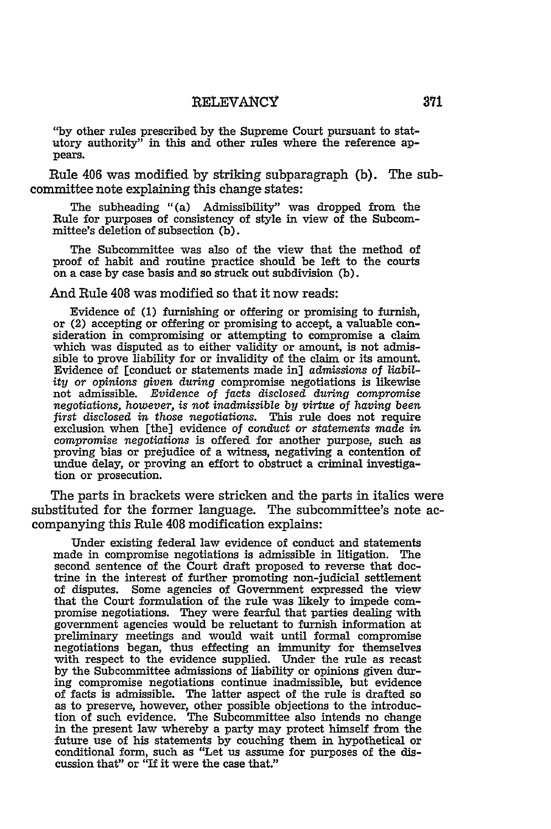**"by** other rules prescribed **by** the Supreme Court pursuant to statutory authority" in this and other rules where the reference appears.

Rule 406 was modified by striking subparagraph **(b).** The subcommittee note explaining this change states:

The subheading "(a) Admissibility" was dropped from the Rule for purposes of consistency of style in view of the Subcommittee's deletion of subsection (b).

The Subcommittee was also of the view that the method of proof of habit and routine practice should be left to the courts on a case by case basis and so struck out subdivision (b).

#### And Rule 408 was modified so that it now reads:

Evidence of (1) furnishing or offering or promising to furnish, or (2) accepting or offering or promising to accept, a valuable consideration in compromising or attempting to compromise a claim which was disputed as to either validity or amount, is not admissible to prove liability for or invalidity of the claim or its amount. Evidence of [conduct or statements made in] admissions of *liability* or opinions *given during* compromise negotiations is likewise not admissible. *Evidence of facts disclosed during compromise negotiations, however,* is *not inadmissible by virtue* of *having been first* disclosed *in those negotiations.* This rule does not require exclusion when [the] evidence of conduct *or statements made* in *compromise negotiations* is offered for another purpose, such as proving bias or prejudice of a witness, negativing a contention of undue delay, or proving an effort to obstruct a criminal investigation or prosecution.

The parts in brackets were stricken and the parts in italics were substituted for the former language. The subcommittee's note accompanying this Rule 408 modification explains:

Under existing federal law evidence of conduct and statements made in compromise negotiations is admissible in litigation. The second sentence of the Court draft proposed to reverse that doctrine in the interest of further promoting non-judicial settlement of disputes. Some agencies of Government expressed the view that the Court formulation of the rule was likely to impede compromise negotiations. They were fearful that parties dealing with government agencies would be reluctant to furnish information at preliminary meetings and would wait until formal compromise negotiations began, thus effecting an immunity for themselves with respect to the evidence supplied. Under the rule as recast by the Subcommittee admissions of liability or opinions given during compromise negotiations continue inadmissible, but evidence of facts is admissible. The latter aspect of the rule is drafted so as to preserve, however, other possible objections to the introduction of such evidence. The Subcommittee also intends no change in the present law whereby a party may protect himself from the future use of his statements by couching them in hypothetical or conditional form, such as "Let us assume for purposes of the discussion that" or "If it were the case that."